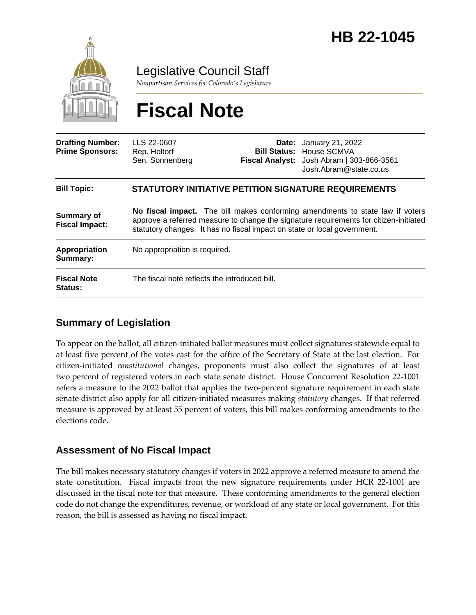

Legislative Council Staff

*Nonpartisan Services for Colorado's Legislature*

# **Fiscal Note**

| <b>Drafting Number:</b><br><b>Prime Sponsors:</b> | LLS 22-0607<br>Rep. Holtorf<br>Sen. Sonnenberg                                                                                                                                                                                                     |  | <b>Date:</b> January 21, 2022<br><b>Bill Status: House SCMVA</b><br>Fiscal Analyst: Josh Abram   303-866-3561<br>Josh.Abram@state.co.us |
|---------------------------------------------------|----------------------------------------------------------------------------------------------------------------------------------------------------------------------------------------------------------------------------------------------------|--|-----------------------------------------------------------------------------------------------------------------------------------------|
| <b>Bill Topic:</b>                                | <b>STATUTORY INITIATIVE PETITION SIGNATURE REQUIREMENTS</b>                                                                                                                                                                                        |  |                                                                                                                                         |
| <b>Summary of</b><br><b>Fiscal Impact:</b>        | No fiscal impact. The bill makes conforming amendments to state law if voters<br>approve a referred measure to change the signature requirements for citizen-initiated<br>statutory changes. It has no fiscal impact on state or local government. |  |                                                                                                                                         |
| Appropriation<br>Summary:                         | No appropriation is required.                                                                                                                                                                                                                      |  |                                                                                                                                         |
| <b>Fiscal Note</b><br><b>Status:</b>              | The fiscal note reflects the introduced bill.                                                                                                                                                                                                      |  |                                                                                                                                         |

## **Summary of Legislation**

To appear on the ballot, all citizen-initiated ballot measures must collect signatures statewide equal to at least five percent of the votes cast for the office of the Secretary of State at the last election. For citizen-initiated *constitutional* changes, proponents must also collect the signatures of at least two percent of registered voters in each state senate district. House Concurrent Resolution 22-1001 refers a measure to the 2022 ballot that applies the two-percent signature requirement in each state senate district also apply for all citizen-initiated measures making *statutory* changes. If that referred measure is approved by at least 55 percent of voters, this bill makes conforming amendments to the elections code.

## **Assessment of No Fiscal Impact**

The bill makes necessary statutory changes if voters in 2022 approve a referred measure to amend the state constitution. Fiscal impacts from the new signature requirements under HCR 22-1001 are discussed in the fiscal note for that measure. These conforming amendments to the general election code do not change the expenditures, revenue, or workload of any state or local government. For this reason, the bill is assessed as having no fiscal impact.